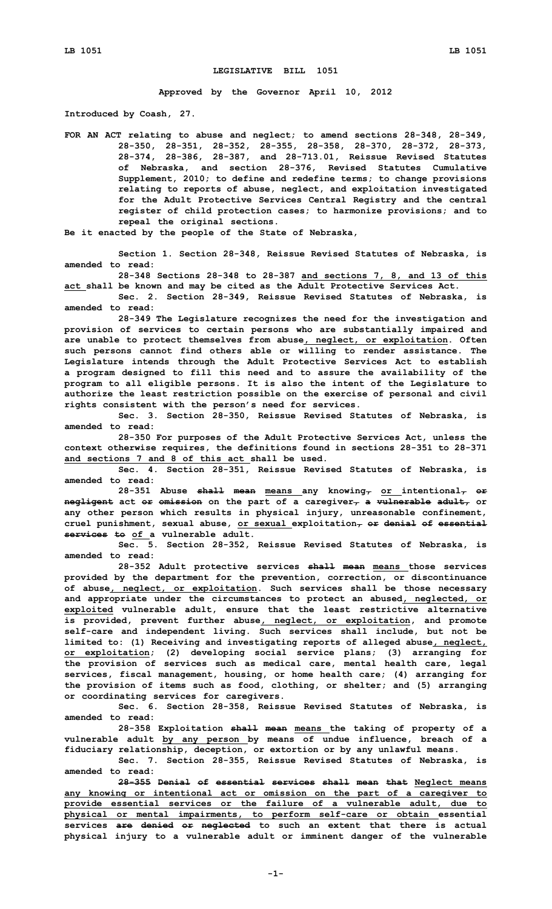## **LEGISLATIVE BILL 1051**

**Approved by the Governor April 10, 2012**

**Introduced by Coash, 27.**

**FOR AN ACT relating to abuse and neglect; to amend sections 28-348, 28-349, 28-350, 28-351, 28-352, 28-355, 28-358, 28-370, 28-372, 28-373, 28-374, 28-386, 28-387, and 28-713.01, Reissue Revised Statutes of Nebraska, and section 28-376, Revised Statutes Cumulative Supplement, 2010; to define and redefine terms; to change provisions relating to reports of abuse, neglect, and exploitation investigated for the Adult Protective Services Central Registry and the central register of child protection cases; to harmonize provisions; and to repeal the original sections.**

**Be it enacted by the people of the State of Nebraska,**

**Section 1. Section 28-348, Reissue Revised Statutes of Nebraska, is amended to read:**

**28-348 Sections 28-348 to 28-387 and sections 7, 8, and 13 of this act shall be known and may be cited as the Adult Protective Services Act.**

**Sec. 2. Section 28-349, Reissue Revised Statutes of Nebraska, is amended to read:**

**28-349 The Legislature recognizes the need for the investigation and provision of services to certain persons who are substantially impaired and are unable to protect themselves from abuse, neglect, or exploitation. Often such persons cannot find others able or willing to render assistance. The Legislature intends through the Adult Protective Services Act to establish <sup>a</sup> program designed to fill this need and to assure the availability of the program to all eligible persons. It is also the intent of the Legislature to authorize the least restriction possible on the exercise of personal and civil rights consistent with the person's need for services.**

**Sec. 3. Section 28-350, Reissue Revised Statutes of Nebraska, is amended to read:**

**28-350 For purposes of the Adult Protective Services Act, unless the context otherwise requires, the definitions found in sections 28-351 to 28-371 and sections 7 and 8 of this act shall be used.**

**Sec. 4. Section 28-351, Reissue Revised Statutes of Nebraska, is amended to read:**

**28-351 Abuse shall mean means any knowing, or intentional, or negligent act or omission on the part of <sup>a</sup> caregiver, <sup>a</sup> vulnerable adult, or any other person which results in physical injury, unreasonable confinement, cruel punishment, sexual abuse, or sexual exploitation, or denial of essential services to of a vulnerable adult.**

**Sec. 5. Section 28-352, Reissue Revised Statutes of Nebraska, is amended to read:**

**28-352 Adult protective services shall mean means those services provided by the department for the prevention, correction, or discontinuance of abuse, neglect, or exploitation. Such services shall be those necessary and appropriate under the circumstances to protect an abused, neglected, or exploited vulnerable adult, ensure that the least restrictive alternative is provided, prevent further abuse, neglect, or exploitation, and promote self-care and independent living. Such services shall include, but not be limited to: (1) Receiving and investigating reports of alleged abuse, neglect, or exploitation; (2) developing social service plans; (3) arranging for the provision of services such as medical care, mental health care, legal services, fiscal management, housing, or home health care; (4) arranging for the provision of items such as food, clothing, or shelter; and (5) arranging or coordinating services for caregivers.**

**Sec. 6. Section 28-358, Reissue Revised Statutes of Nebraska, is amended to read:**

**28-358 Exploitation shall mean means the taking of property of <sup>a</sup> vulnerable adult by any person by means of undue influence, breach of <sup>a</sup> fiduciary relationship, deception, or extortion or by any unlawful means.**

**Sec. 7. Section 28-355, Reissue Revised Statutes of Nebraska, is amended to read:**

**28-355 Denial of essential services shall mean that Neglect means any knowing or intentional act or omission on the part of <sup>a</sup> caregiver to provide essential services or the failure of <sup>a</sup> vulnerable adult, due to physical or mental impairments, to perform self-care or obtain essential services are denied or neglected to such an extent that there is actual physical injury to <sup>a</sup> vulnerable adult or imminent danger of the vulnerable**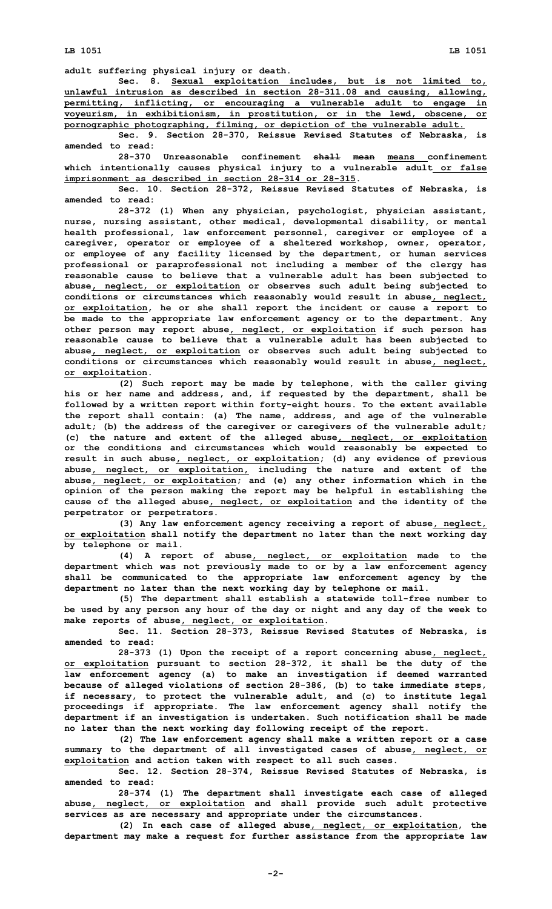**adult suffering physical injury or death.**

**Sec. 8. Sexual exploitation includes, but is not limited to, unlawful intrusion as described in section 28-311.08 and causing, allowing, permitting, inflicting, or encouraging <sup>a</sup> vulnerable adult to engage in voyeurism, in exhibitionism, in prostitution, or in the lewd, obscene, or pornographic photographing, filming, or depiction of the vulnerable adult.**

**Sec. 9. Section 28-370, Reissue Revised Statutes of Nebraska, is amended to read:**

**28-370 Unreasonable confinement shall mean means confinement which intentionally causes physical injury to <sup>a</sup> vulnerable adult or false imprisonment as described in section 28-314 or 28-315.**

**Sec. 10. Section 28-372, Reissue Revised Statutes of Nebraska, is amended to read:**

**28-372 (1) When any physician, psychologist, physician assistant, nurse, nursing assistant, other medical, developmental disability, or mental health professional, law enforcement personnel, caregiver or employee of <sup>a</sup> caregiver, operator or employee of <sup>a</sup> sheltered workshop, owner, operator, or employee of any facility licensed by the department, or human services professional or paraprofessional not including <sup>a</sup> member of the clergy has reasonable cause to believe that <sup>a</sup> vulnerable adult has been subjected to abuse, neglect, or exploitation or observes such adult being subjected to conditions or circumstances which reasonably would result in abuse, neglect, or exploitation, he or she shall report the incident or cause <sup>a</sup> report to be made to the appropriate law enforcement agency or to the department. Any other person may report abuse, neglect, or exploitation if such person has reasonable cause to believe that <sup>a</sup> vulnerable adult has been subjected to abuse, neglect, or exploitation or observes such adult being subjected to conditions or circumstances which reasonably would result in abuse, neglect, or exploitation.**

**(2) Such report may be made by telephone, with the caller giving his or her name and address, and, if requested by the department, shall be followed by <sup>a</sup> written report within forty-eight hours. To the extent available the report shall contain: (a) The name, address, and age of the vulnerable adult; (b) the address of the caregiver or caregivers of the vulnerable adult; (c) the nature and extent of the alleged abuse, neglect, or exploitation or the conditions and circumstances which would reasonably be expected to result in such abuse, neglect, or exploitation; (d) any evidence of previous abuse, neglect, or exploitation, including the nature and extent of the abuse, neglect, or exploitation; and (e) any other information which in the opinion of the person making the report may be helpful in establishing the cause of the alleged abuse, neglect, or exploitation and the identity of the perpetrator or perpetrators.**

**(3) Any law enforcement agency receiving <sup>a</sup> report of abuse, neglect, or exploitation shall notify the department no later than the next working day by telephone or mail.**

**(4) <sup>A</sup> report of abuse, neglect, or exploitation made to the department which was not previously made to or by <sup>a</sup> law enforcement agency shall be communicated to the appropriate law enforcement agency by the department no later than the next working day by telephone or mail.**

**(5) The department shall establish <sup>a</sup> statewide toll-free number to be used by any person any hour of the day or night and any day of the week to make reports of abuse, neglect, or exploitation.**

**Sec. 11. Section 28-373, Reissue Revised Statutes of Nebraska, is amended to read:**

**28-373 (1) Upon the receipt of <sup>a</sup> report concerning abuse, neglect, or exploitation pursuant to section 28-372, it shall be the duty of the law enforcement agency (a) to make an investigation if deemed warranted because of alleged violations of section 28-386, (b) to take immediate steps, if necessary, to protect the vulnerable adult, and (c) to institute legal proceedings if appropriate. The law enforcement agency shall notify the department if an investigation is undertaken. Such notification shall be made no later than the next working day following receipt of the report.**

**(2) The law enforcement agency shall make <sup>a</sup> written report or <sup>a</sup> case summary to the department of all investigated cases of abuse, neglect, or exploitation and action taken with respect to all such cases.**

**Sec. 12. Section 28-374, Reissue Revised Statutes of Nebraska, is amended to read:**

**28-374 (1) The department shall investigate each case of alleged abuse, neglect, or exploitation and shall provide such adult protective services as are necessary and appropriate under the circumstances.**

**(2) In each case of alleged abuse, neglect, or exploitation, the department may make <sup>a</sup> request for further assistance from the appropriate law**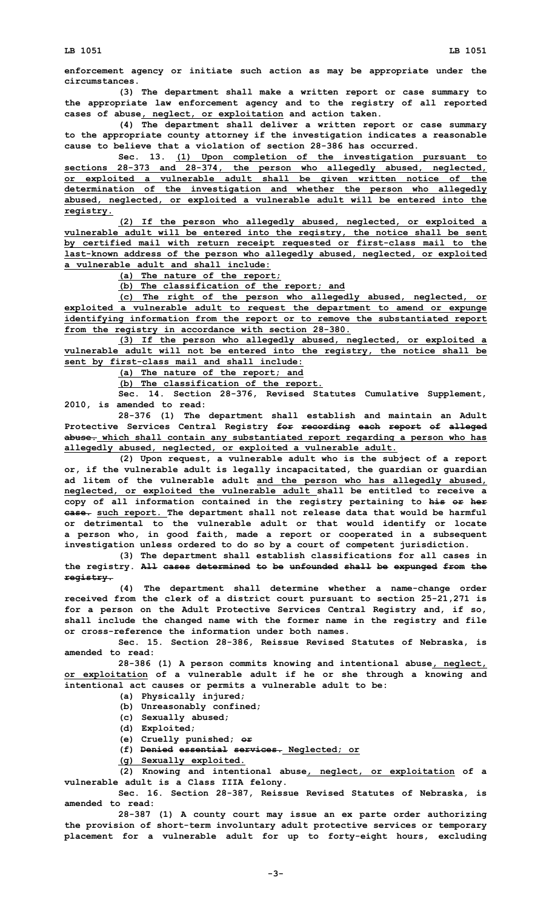**enforcement agency or initiate such action as may be appropriate under the circumstances.**

**(3) The department shall make <sup>a</sup> written report or case summary to the appropriate law enforcement agency and to the registry of all reported cases of abuse, neglect, or exploitation and action taken.**

**(4) The department shall deliver <sup>a</sup> written report or case summary to the appropriate county attorney if the investigation indicates <sup>a</sup> reasonable cause to believe that a violation of section 28-386 has occurred.**

**Sec. 13. (1) Upon completion of the investigation pursuant to sections 28-373 and 28-374, the person who allegedly abused, neglected, or exploited <sup>a</sup> vulnerable adult shall be given written notice of the determination of the investigation and whether the person who allegedly abused, neglected, or exploited <sup>a</sup> vulnerable adult will be entered into the registry.**

**(2) If the person who allegedly abused, neglected, or exploited <sup>a</sup> vulnerable adult will be entered into the registry, the notice shall be sent by certified mail with return receipt requested or first-class mail to the last-known address of the person who allegedly abused, neglected, or exploited a vulnerable adult and shall include:**

**(a) The nature of the report;**

**(b) The classification of the report; and**

**(c) The right of the person who allegedly abused, neglected, or exploited <sup>a</sup> vulnerable adult to request the department to amend or expunge identifying information from the report or to remove the substantiated report from the registry in accordance with section 28-380.**

**(3) If the person who allegedly abused, neglected, or exploited <sup>a</sup> vulnerable adult will not be entered into the registry, the notice shall be sent by first-class mail and shall include:**

**(a) The nature of the report; and**

**(b) The classification of the report.**

**Sec. 14. Section 28-376, Revised Statutes Cumulative Supplement, 2010, is amended to read:**

**28-376 (1) The department shall establish and maintain an Adult Protective Services Central Registry for recording each report of alleged abuse. which shall contain any substantiated report regarding <sup>a</sup> person who has allegedly abused, neglected, or exploited <sup>a</sup> vulnerable adult.**

**(2) Upon request, <sup>a</sup> vulnerable adult who is the subject of <sup>a</sup> report or, if the vulnerable adult is legally incapacitated, the guardian or guardian ad litem of the vulnerable adult and the person who has allegedly abused, neglected, or exploited the vulnerable adult shall be entitled to receive <sup>a</sup> copy of all information contained in the registry pertaining to his or her case. such report. The department shall not release data that would be harmful or detrimental to the vulnerable adult or that would identify or locate <sup>a</sup> person who, in good faith, made <sup>a</sup> report or cooperated in <sup>a</sup> subsequent investigation unless ordered to do so by <sup>a</sup> court of competent jurisdiction.**

**(3) The department shall establish classifications for all cases in the registry. All cases determined to be unfounded shall be expunged from the registry.**

**(4) The department shall determine whether <sup>a</sup> name-change order received from the clerk of <sup>a</sup> district court pursuant to section 25-21,271 is for <sup>a</sup> person on the Adult Protective Services Central Registry and, if so, shall include the changed name with the former name in the registry and file or cross-reference the information under both names.**

**Sec. 15. Section 28-386, Reissue Revised Statutes of Nebraska, is amended to read:**

**28-386 (1) <sup>A</sup> person commits knowing and intentional abuse, neglect, or exploitation of <sup>a</sup> vulnerable adult if he or she through <sup>a</sup> knowing and intentional act causes or permits <sup>a</sup> vulnerable adult to be:**

- **(a) Physically injured;**
- **(b) Unreasonably confined;**
- **(c) Sexually abused;**
- **(d) Exploited;**
- **(e) Cruelly punished; or**
- **(f) Denied essential services. Neglected; or**
- **(g) Sexually exploited.**

**(2) Knowing and intentional abuse, neglect, or exploitation of <sup>a</sup> vulnerable adult is <sup>a</sup> Class IIIA felony.**

**Sec. 16. Section 28-387, Reissue Revised Statutes of Nebraska, is amended to read:**

**28-387 (1) <sup>A</sup> county court may issue an ex parte order authorizing the provision of short-term involuntary adult protective services or temporary placement for <sup>a</sup> vulnerable adult for up to forty-eight hours, excluding**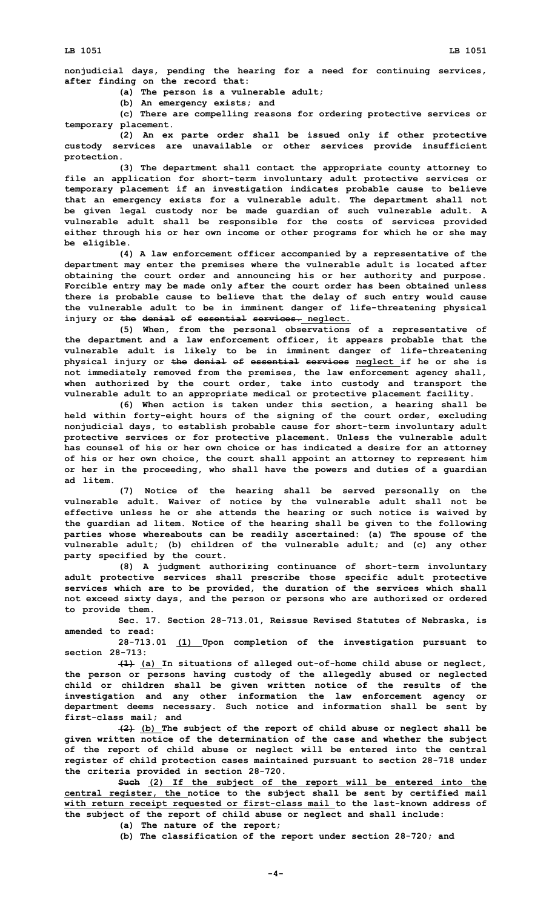**nonjudicial days, pending the hearing for <sup>a</sup> need for continuing services, after finding on the record that:**

**(a) The person is <sup>a</sup> vulnerable adult;**

**(b) An emergency exists; and**

**(c) There are compelling reasons for ordering protective services or temporary placement.**

**(2) An ex parte order shall be issued only if other protective custody services are unavailable or other services provide insufficient protection.**

**(3) The department shall contact the appropriate county attorney to file an application for short-term involuntary adult protective services or temporary placement if an investigation indicates probable cause to believe that an emergency exists for <sup>a</sup> vulnerable adult. The department shall not be given legal custody nor be made guardian of such vulnerable adult. A vulnerable adult shall be responsible for the costs of services provided either through his or her own income or other programs for which he or she may be eligible.**

**(4) <sup>A</sup> law enforcement officer accompanied by <sup>a</sup> representative of the department may enter the premises where the vulnerable adult is located after obtaining the court order and announcing his or her authority and purpose. Forcible entry may be made only after the court order has been obtained unless there is probable cause to believe that the delay of such entry would cause the vulnerable adult to be in imminent danger of life-threatening physical injury or the denial of essential services. neglect.**

**(5) When, from the personal observations of <sup>a</sup> representative of the department and <sup>a</sup> law enforcement officer, it appears probable that the vulnerable adult is likely to be in imminent danger of life-threatening physical injury or the denial of essential services neglect if he or she is not immediately removed from the premises, the law enforcement agency shall, when authorized by the court order, take into custody and transport the vulnerable adult to an appropriate medical or protective placement facility.**

**(6) When action is taken under this section, <sup>a</sup> hearing shall be held within forty-eight hours of the signing of the court order, excluding nonjudicial days, to establish probable cause for short-term involuntary adult protective services or for protective placement. Unless the vulnerable adult has counsel of his or her own choice or has indicated <sup>a</sup> desire for an attorney of his or her own choice, the court shall appoint an attorney to represent him or her in the proceeding, who shall have the powers and duties of <sup>a</sup> guardian ad litem.**

**(7) Notice of the hearing shall be served personally on the vulnerable adult. Waiver of notice by the vulnerable adult shall not be effective unless he or she attends the hearing or such notice is waived by the guardian ad litem. Notice of the hearing shall be given to the following parties whose whereabouts can be readily ascertained: (a) The spouse of the vulnerable adult; (b) children of the vulnerable adult; and (c) any other party specified by the court.**

**(8) <sup>A</sup> judgment authorizing continuance of short-term involuntary adult protective services shall prescribe those specific adult protective services which are to be provided, the duration of the services which shall not exceed sixty days, and the person or persons who are authorized or ordered to provide them.**

**Sec. 17. Section 28-713.01, Reissue Revised Statutes of Nebraska, is amended to read:**

**28-713.01 (1) Upon completion of the investigation pursuant to section 28-713:**

**(1) (a) In situations of alleged out-of-home child abuse or neglect, the person or persons having custody of the allegedly abused or neglected child or children shall be given written notice of the results of the investigation and any other information the law enforcement agency or department deems necessary. Such notice and information shall be sent by first-class mail; and**

**(2) (b) The subject of the report of child abuse or neglect shall be given written notice of the determination of the case and whether the subject of the report of child abuse or neglect will be entered into the central register of child protection cases maintained pursuant to section 28-718 under the criteria provided in section 28-720.**

**Such (2) If the subject of the report will be entered into the central register, the notice to the subject shall be sent by certified mail with return receipt requested or first-class mail to the last-known address of the subject of the report of child abuse or neglect and shall include:**

**(a) The nature of the report;**

**(b) The classification of the report under section 28-720; and**